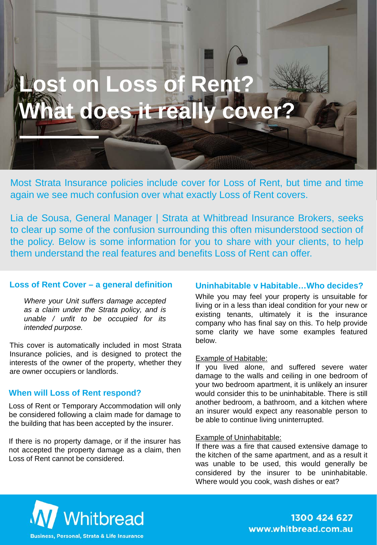# **Lost on Loss of Rent? What does it really cover?**

Most Strata Insurance policies include cover for Loss of Rent, but time and time again we see much confusion over what exactly Loss of Rent covers.

Lia de Sousa, General Manager | Strata at Whitbread Insurance Brokers, seeks to clear up some of the confusion surrounding this often misunderstood section of the policy. Below is some information for you to share with your clients, to help them understand the real features and benefits Loss of Rent can offer.

#### **Loss of Rent Cover – a general definition**

*Where your Unit suffers damage accepted as a claim under the Strata policy, and is unable / unfit to be occupied for its intended purpose.*

This cover is automatically included in most Strata Insurance policies, and is designed to protect the interests of the owner of the property, whether they are owner occupiers or landlords.

#### **When will Loss of Rent respond?**

Loss of Rent or Temporary Accommodation will only be considered following a claim made for damage to the building that has been accepted by the insurer.

If there is no property damage, or if the insurer has not accepted the property damage as a claim, then Loss of Rent cannot be considered.

#### **Uninhabitable v Habitable…Who decides?**

While you may feel your property is unsuitable for living or in a less than ideal condition for your new or existing tenants, ultimately it is the insurance company who has final say on this. To help provide some clarity we have some examples featured below.

#### Example of Habitable:

If you lived alone, and suffered severe water damage to the walls and ceiling in one bedroom of your two bedroom apartment, it is unlikely an insurer would consider this to be uninhabitable. There is still another bedroom, a bathroom, and a kitchen where an insurer would expect any reasonable person to be able to continue living uninterrupted.

#### Example of Uninhabitable:

If there was a fire that caused extensive damage to the kitchen of the same apartment, and as a result it was unable to be used, this would generally be considered by the insurer to be uninhabitable. Where would you cook, wash dishes or eat?



www.whitbread.com.au